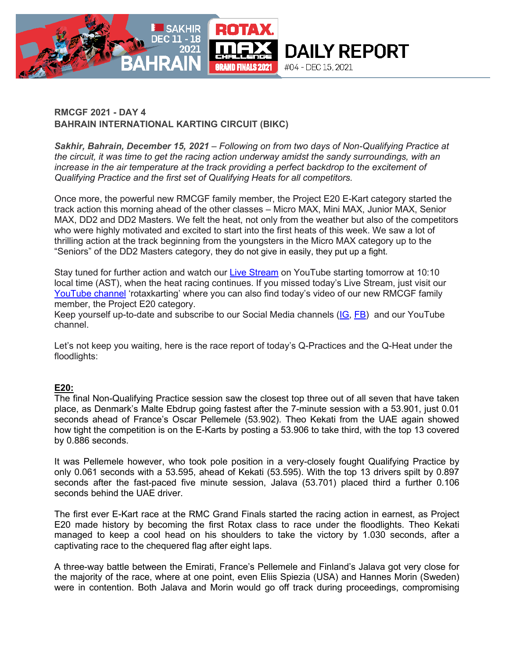

# **RMCGF 2021 - DAY 4 BAHRAIN INTERNATIONAL KARTING CIRCUIT (BIKC)**

*Sakhir, Bahrain, December 15, 2021 – Following on from two days of Non-Qualifying Practice at the circuit, it was time to get the racing action underway amidst the sandy surroundings, with an increase in the air temperature at the track providing a perfect backdrop to the excitement of Qualifying Practice and the first set of Qualifying Heats for all competitors.* 

Once more, the powerful new RMCGF family member, the Project E20 E-Kart category started the track action this morning ahead of the other classes – Micro MAX, Mini MAX, Junior MAX, Senior MAX, DD2 and DD2 Masters. We felt the heat, not only from the weather but also of the competitors who were highly motivated and excited to start into the first heats of this week. We saw a lot of thrilling action at the track beginning from the youngsters in the Micro MAX category up to the "Seniors" of the DD2 Masters category, they do not give in easily, they put up a fight.

Stay tuned for further action and watch our [Live Stream](https://www.youtube.com/user/RotaxKarting) on YouTube starting tomorrow at 10:10 local time (AST), when the heat racing continues. If you missed today's Live Stream, just visit our [YouTube channel](https://www.youtube.com/user/RotaxKarting) 'rotaxkarting' where you can also find today's video of our new RMCGF family member, the Project E20 category.

Keep yourself up-to-date and subscribe to our Social Media channels [\(IG,](https://www.instagram.com/rotaxkarting/) [FB\)](https://www.facebook.com/ROTAXKART) and our YouTube channel.

Let's not keep you waiting, here is the race report of today's Q-Practices and the Q-Heat under the floodlights:

## **E20:**

The final Non-Qualifying Practice session saw the closest top three out of all seven that have taken place, as Denmark's Malte Ebdrup going fastest after the 7-minute session with a 53.901, just 0.01 seconds ahead of France's Oscar Pellemele (53.902). Theo Kekati from the UAE again showed how tight the competition is on the E-Karts by posting a 53.906 to take third, with the top 13 covered by 0.886 seconds.

It was Pellemele however, who took pole position in a very-closely fought Qualifying Practice by only 0.061 seconds with a 53.595, ahead of Kekati (53.595). With the top 13 drivers spilt by 0.897 seconds after the fast-paced five minute session, Jalava (53.701) placed third a further 0.106 seconds behind the UAE driver.

The first ever E-Kart race at the RMC Grand Finals started the racing action in earnest, as Project E20 made history by becoming the first Rotax class to race under the floodlights. Theo Kekati managed to keep a cool head on his shoulders to take the victory by 1.030 seconds, after a captivating race to the chequered flag after eight laps.

A three-way battle between the Emirati, France's Pellemele and Finland's Jalava got very close for the majority of the race, where at one point, even Eliis Spiezia (USA) and Hannes Morin (Sweden) were in contention. Both Jalava and Morin would go off track during proceedings, compromising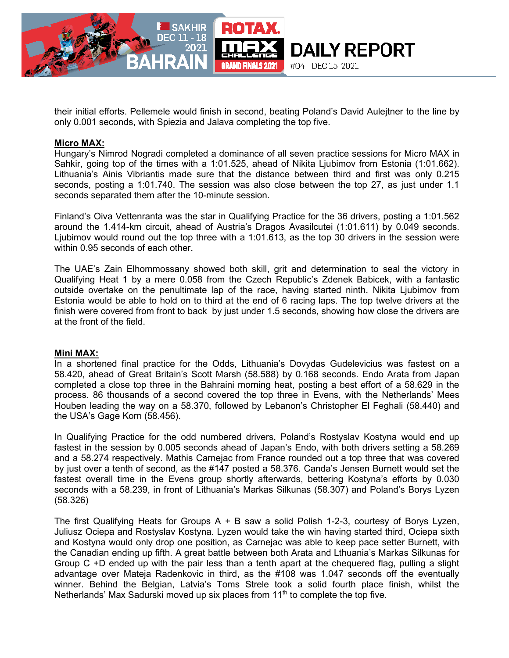

their initial efforts. Pellemele would finish in second, beating Poland's David Aulejtner to the line by only 0.001 seconds, with Spiezia and Jalava completing the top five.

### **Micro MAX:**

Hungary's Nimrod Nogradi completed a dominance of all seven practice sessions for Micro MAX in Sahkir, going top of the times with a 1:01.525, ahead of Nikita Ljubimov from Estonia (1:01.662). Lithuania's Ainis Vibriantis made sure that the distance between third and first was only 0.215 seconds, posting a 1:01.740. The session was also close between the top 27, as just under 1.1 seconds separated them after the 10-minute session.

Finland's Oiva Vettenranta was the star in Qualifying Practice for the 36 drivers, posting a 1:01.562 around the 1.414-km circuit, ahead of Austria's Dragos Avasilcutei (1:01.611) by 0.049 seconds. Ljubimov would round out the top three with a 1:01.613, as the top 30 drivers in the session were within 0.95 seconds of each other.

The UAE's Zain Elhommossany showed both skill, grit and determination to seal the victory in Qualifying Heat 1 by a mere 0.058 from the Czech Republic's Zdenek Babicek, with a fantastic outside overtake on the penultimate lap of the race, having started ninth. Nikita Ljubimov from Estonia would be able to hold on to third at the end of 6 racing laps. The top twelve drivers at the finish were covered from front to back by just under 1.5 seconds, showing how close the drivers are at the front of the field.

#### **Mini MAX:**

In a shortened final practice for the Odds, Lithuania's Dovydas Gudelevicius was fastest on a 58.420, ahead of Great Britain's Scott Marsh (58.588) by 0.168 seconds. Endo Arata from Japan completed a close top three in the Bahraini morning heat, posting a best effort of a 58.629 in the process. 86 thousands of a second covered the top three in Evens, with the Netherlands' Mees Houben leading the way on a 58.370, followed by Lebanon's Christopher El Feghali (58.440) and the USA's Gage Korn (58.456).

In Qualifying Practice for the odd numbered drivers, Poland's Rostyslav Kostyna would end up fastest in the session by 0.005 seconds ahead of Japan's Endo, with both drivers setting a 58.269 and a 58.274 respectively. Mathis Carnejac from France rounded out a top three that was covered by just over a tenth of second, as the #147 posted a 58.376. Canda's Jensen Burnett would set the fastest overall time in the Evens group shortly afterwards, bettering Kostyna's efforts by 0.030 seconds with a 58.239, in front of Lithuania's Markas Silkunas (58.307) and Poland's Borys Lyzen (58.326)

The first Qualifying Heats for Groups  $A + B$  saw a solid Polish 1-2-3, courtesy of Borys Lyzen, Juliusz Ociepa and Rostyslav Kostyna. Lyzen would take the win having started third, Ociepa sixth and Kostyna would only drop one position, as Carnejac was able to keep pace setter Burnett, with the Canadian ending up fifth. A great battle between both Arata and Lthuania's Markas Silkunas for Group C +D ended up with the pair less than a tenth apart at the chequered flag, pulling a slight advantage over Mateja Radenkovic in third, as the #108 was 1.047 seconds off the eventually winner. Behind the Belgian, Latvia's Toms Strele took a solid fourth place finish, whilst the Netherlands' Max Sadurski moved up six places from 11<sup>th</sup> to complete the top five.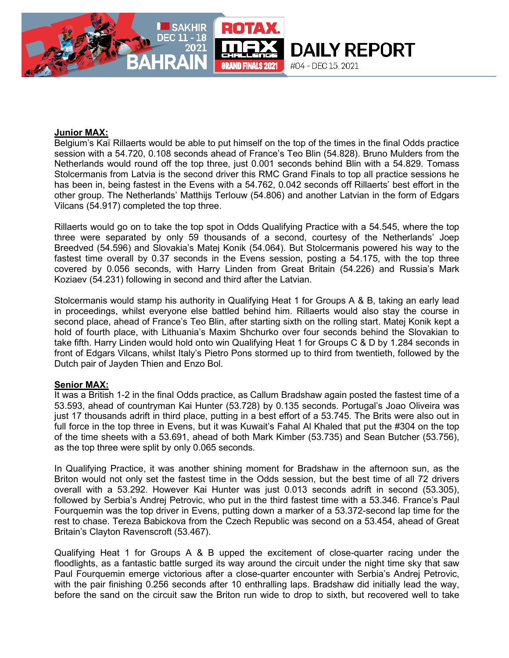

#### **Junior MAX:**

Belgium's Kaï Rillaerts would be able to put himself on the top of the times in the final Odds practice session with a 54.720, 0.108 seconds ahead of France's Teo Blin (54.828). Bruno Mulders from the Netherlands would round off the top three, just 0.001 seconds behind Blin with a 54.829. Tomass Stolcermanis from Latvia is the second driver this RMC Grand Finals to top all practice sessions he has been in, being fastest in the Evens with a 54.762, 0.042 seconds off Rillaerts' best effort in the other group. The Netherlands' Matthijs Terlouw (54.806) and another Latvian in the form of Edgars Vilcans (54.917) completed the top three.

Rillaerts would go on to take the top spot in Odds Qualifying Practice with a 54.545, where the top three were separated by only 59 thousands of a second, courtesy of the Netherlands' Joep Breedved (54.596) and Slovakia's Matej Konik (54.064). But Stolcermanis powered his way to the fastest time overall by 0.37 seconds in the Evens session, posting a 54.175, with the top three covered by 0.056 seconds, with Harry Linden from Great Britain (54.226) and Russia's Mark Koziaev (54.231) following in second and third after the Latvian.

Stolcermanis would stamp his authority in Qualifying Heat 1 for Groups A & B, taking an early lead in proceedings, whilst everyone else battled behind him. Rillaerts would also stay the course in second place, ahead of France's Teo Blin, after starting sixth on the rolling start. Matej Konik kept a hold of fourth place, with Lithuania's Maxim Shchurko over four seconds behind the Slovakian to take fifth. Harry Linden would hold onto win Qualifying Heat 1 for Groups C & D by 1.284 seconds in front of Edgars Vilcans, whilst Italy's Pietro Pons stormed up to third from twentieth, followed by the Dutch pair of Jayden Thien and Enzo Bol.

## **Senior MAX:**

It was a British 1-2 in the final Odds practice, as Callum Bradshaw again posted the fastest time of a 53.593, ahead of countryman Kai Hunter (53.728) by 0.135 seconds. Portugal's Joao Oliveira was just 17 thousands adrift in third place, putting in a best effort of a 53.745. The Brits were also out in full force in the top three in Evens, but it was Kuwait's Fahal Al Khaled that put the #304 on the top of the time sheets with a 53.691, ahead of both Mark Kimber (53.735) and Sean Butcher (53.756), as the top three were split by only 0.065 seconds.

In Qualifying Practice, it was another shining moment for Bradshaw in the afternoon sun, as the Briton would not only set the fastest time in the Odds session, but the best time of all 72 drivers overall with a 53.292. However Kai Hunter was just 0.013 seconds adrift in second (53.305), followed by Serbia's Andrej Petrovic, who put in the third fastest time with a 53.346. France's Paul Fourquemin was the top driver in Evens, putting down a marker of a 53.372-second lap time for the rest to chase. Tereza Babickova from the Czech Republic was second on a 53.454, ahead of Great Britain's Clayton Ravenscroft (53.467).

Qualifying Heat 1 for Groups A & B upped the excitement of close-quarter racing under the floodlights, as a fantastic battle surged its way around the circuit under the night time sky that saw Paul Fourquemin emerge victorious after a close-quarter encounter with Serbia's Andrej Petrovic, with the pair finishing 0.256 seconds after 10 enthralling laps. Bradshaw did initially lead the way, before the sand on the circuit saw the Briton run wide to drop to sixth, but recovered well to take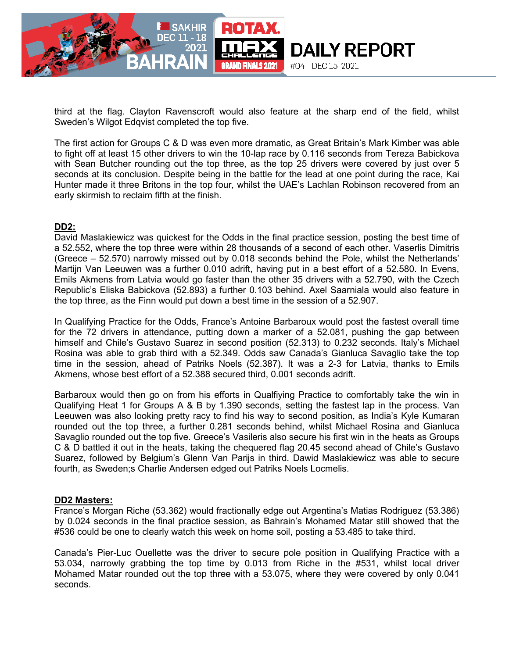

third at the flag. Clayton Ravenscroft would also feature at the sharp end of the field, whilst Sweden's Wilgot Edqvist completed the top five.

The first action for Groups C & D was even more dramatic, as Great Britain's Mark Kimber was able to fight off at least 15 other drivers to win the 10-lap race by 0.116 seconds from Tereza Babickova with Sean Butcher rounding out the top three, as the top 25 drivers were covered by just over 5 seconds at its conclusion. Despite being in the battle for the lead at one point during the race, Kai Hunter made it three Britons in the top four, whilst the UAE's Lachlan Robinson recovered from an early skirmish to reclaim fifth at the finish.

## **DD2:**

David Maslakiewicz was quickest for the Odds in the final practice session, posting the best time of a 52.552, where the top three were within 28 thousands of a second of each other. Vaserlis Dimitris (Greece – 52.570) narrowly missed out by 0.018 seconds behind the Pole, whilst the Netherlands' Martijn Van Leeuwen was a further 0.010 adrift, having put in a best effort of a 52.580. In Evens, Emils Akmens from Latvia would go faster than the other 35 drivers with a 52.790, with the Czech Republic's Eliska Babickova (52.893) a further 0.103 behind. Axel Saarniala would also feature in the top three, as the Finn would put down a best time in the session of a 52.907.

In Qualifying Practice for the Odds, France's Antoine Barbaroux would post the fastest overall time for the 72 drivers in attendance, putting down a marker of a 52.081, pushing the gap between himself and Chile's Gustavo Suarez in second position (52.313) to 0.232 seconds. Italy's Michael Rosina was able to grab third with a 52.349. Odds saw Canada's Gianluca Savaglio take the top time in the session, ahead of Patriks Noels (52.387). It was a 2-3 for Latvia, thanks to Emils Akmens, whose best effort of a 52.388 secured third, 0.001 seconds adrift.

Barbaroux would then go on from his efforts in Qualfiying Practice to comfortably take the win in Qualifying Heat 1 for Groups A & B by 1.390 seconds, setting the fastest lap in the process. Van Leeuwen was also looking pretty racy to find his way to second position, as India's Kyle Kumaran rounded out the top three, a further 0.281 seconds behind, whilst Michael Rosina and Gianluca Savaglio rounded out the top five. Greece's Vasileris also secure his first win in the heats as Groups C & D battled it out in the heats, taking the chequered flag 20.45 second ahead of Chile's Gustavo Suarez, followed by Belgium's Glenn Van Parijs in third. Dawid Maslakiewicz was able to secure fourth, as Sweden;s Charlie Andersen edged out Patriks Noels Locmelis.

#### **DD2 Masters:**

France's Morgan Riche (53.362) would fractionally edge out Argentina's Matias Rodriguez (53.386) by 0.024 seconds in the final practice session, as Bahrain's Mohamed Matar still showed that the #536 could be one to clearly watch this week on home soil, posting a 53.485 to take third.

Canada's Pier-Luc Ouellette was the driver to secure pole position in Qualifying Practice with a 53.034, narrowly grabbing the top time by 0.013 from Riche in the #531, whilst local driver Mohamed Matar rounded out the top three with a 53.075, where they were covered by only 0.041 seconds.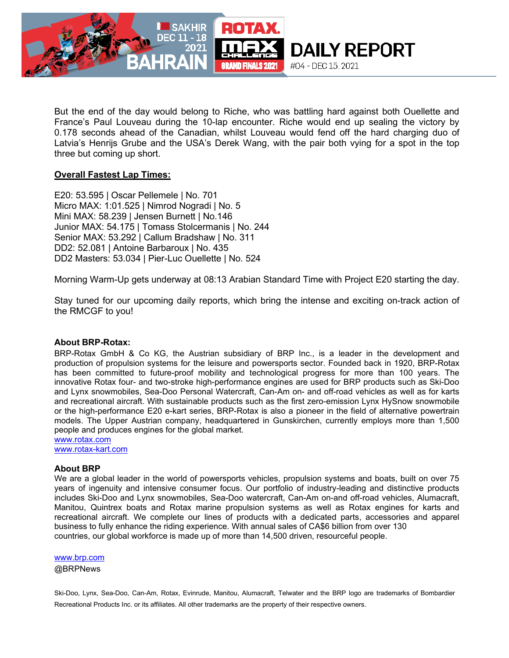

But the end of the day would belong to Riche, who was battling hard against both Ouellette and France's Paul Louveau during the 10-lap encounter. Riche would end up sealing the victory by 0.178 seconds ahead of the Canadian, whilst Louveau would fend off the hard charging duo of Latvia's Henrijs Grube and the USA's Derek Wang, with the pair both vying for a spot in the top three but coming up short.

## **Overall Fastest Lap Times:**

E20: 53.595 | Oscar Pellemele | No. 701 Micro MAX: 1:01.525 | Nimrod Nogradi | No. 5 Mini MAX: 58.239 | Jensen Burnett | No.146 Junior MAX: 54.175 | Tomass Stolcermanis | No. 244 Senior MAX: 53.292 | Callum Bradshaw | No. 311 DD2: 52.081 | Antoine Barbaroux | No. 435 DD2 Masters: 53.034 | Pier-Luc Ouellette | No. 524

Morning Warm-Up gets underway at 08:13 Arabian Standard Time with Project E20 starting the day.

Stay tuned for our upcoming daily reports, which bring the intense and exciting on-track action of the RMCGF to you!

#### **About BRP-Rotax:**

BRP-Rotax GmbH & Co KG, the Austrian subsidiary of BRP Inc., is a leader in the development and production of propulsion systems for the leisure and powersports sector. Founded back in 1920, BRP-Rotax has been committed to future-proof mobility and technological progress for more than 100 years. The innovative Rotax four- and two-stroke high-performance engines are used for BRP products such as Ski-Doo and Lynx snowmobiles, Sea-Doo Personal Watercraft, Can-Am on- and off-road vehicles as well as for karts and recreational aircraft. With sustainable products such as the first zero-emission Lynx HySnow snowmobile or the high-performance E20 e-kart series, BRP-Rotax is also a pioneer in the field of alternative powertrain models. The Upper Austrian company, headquartered in Gunskirchen, currently employs more than 1,500 people and produces engines for the global market.

[www.rotax.com](http://www.rotax.com/)  [www.rotax-kart.com](http://www.rotax-kart.com/)

#### **About BRP**

We are a global leader in the world of powersports vehicles, propulsion systems and boats, built on over 75 years of ingenuity and intensive consumer focus. Our portfolio of industry-leading and distinctive products includes Ski-Doo and Lynx snowmobiles, Sea-Doo watercraft, Can-Am on-and off-road vehicles, Alumacraft, Manitou, Quintrex boats and Rotax marine propulsion systems as well as Rotax engines for karts and recreational aircraft. We complete our lines of products with a dedicated parts, accessories and apparel business to fully enhance the riding experience. With annual sales of CA\$6 billion from over 130 countries, our global workforce is made up of more than 14,500 driven, resourceful people.

[www.brp.com](http://www.brp.com/)

@BRPNews

Ski-Doo, Lynx, Sea-Doo, Can-Am, Rotax, Evinrude, Manitou, Alumacraft, Telwater and the BRP logo are trademarks of Bombardier Recreational Products Inc. or its affiliates. All other trademarks are the property of their respective owners.